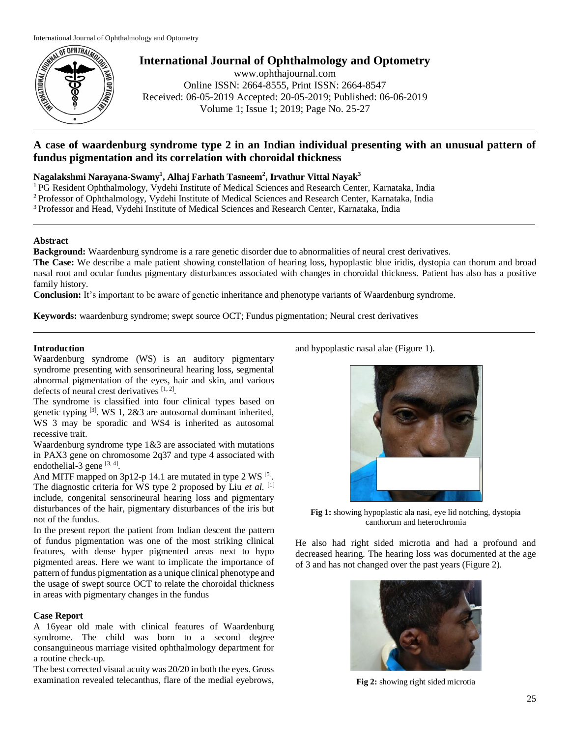

**International Journal of Ophthalmology and Optometry**

www.ophthajournal.com Online ISSN: 2664-8555, Print ISSN: 2664-8547 Received: 06-05-2019 Accepted: 20-05-2019; Published: 06-06-2019 Volume 1; Issue 1; 2019; Page No. 25-27

# **A case of waardenburg syndrome type 2 in an Indian individual presenting with an unusual pattern of fundus pigmentation and its correlation with choroidal thickness**

### **Nagalakshmi Narayana-Swamy<sup>1</sup> , Alhaj Farhath Tasneem<sup>2</sup> , Irvathur Vittal Nayak<sup>3</sup>**

<sup>1</sup> PG Resident Ophthalmology, Vydehi Institute of Medical Sciences and Research Center, Karnataka, India

<sup>2</sup> Professor of Ophthalmology, Vydehi Institute of Medical Sciences and Research Center, Karnataka, India

<sup>3</sup> Professor and Head, Vydehi Institute of Medical Sciences and Research Center, Karnataka, India

#### **Abstract**

**Background:** Waardenburg syndrome is a rare genetic disorder due to abnormalities of neural crest derivatives.

**The Case:** We describe a male patient showing constellation of hearing loss, hypoplastic blue iridis, dystopia can thorum and broad nasal root and ocular fundus pigmentary disturbances associated with changes in choroidal thickness. Patient has also has a positive family history.

**Conclusion:** It's important to be aware of genetic inheritance and phenotype variants of Waardenburg syndrome.

**Keywords:** waardenburg syndrome; swept source OCT; Fundus pigmentation; Neural crest derivatives

### **Introduction**

Waardenburg syndrome (WS) is an auditory pigmentary syndrome presenting with sensorineural hearing loss, segmental abnormal pigmentation of the eyes, hair and skin, and various defects of neural crest derivatives [1,2].

The syndrome is classified into four clinical types based on genetic typing  $[3]$ . WS 1, 2&3 are autosomal dominant inherited, WS 3 may be sporadic and WS4 is inherited as autosomal recessive trait.

Waardenburg syndrome type  $1\&3$  are associated with mutations in PAX3 gene on chromosome 2q37 and type 4 associated with endothelial-3 gene  $[3, 4]$ .

And MITF mapped on  $3p12-p$  14.1 are mutated in type 2 WS  $[5]$ . The diagnostic criteria for WS type 2 proposed by Liu *et al*. [1] include, congenital sensorineural hearing loss and pigmentary disturbances of the hair, pigmentary disturbances of the iris but not of the fundus.

In the present report the patient from Indian descent the pattern of fundus pigmentation was one of the most striking clinical features, with dense hyper pigmented areas next to hypo pigmented areas. Here we want to implicate the importance of pattern of fundus pigmentation as a unique clinical phenotype and the usage of swept source OCT to relate the choroidal thickness in areas with pigmentary changes in the fundus

## **Case Report**

A 16year old male with clinical features of Waardenburg syndrome. The child was born to a second degree consanguineous marriage visited ophthalmology department for a routine check-up.

The best corrected visual acuity was 20/20 in both the eyes. Gross examination revealed telecanthus, flare of the medial eyebrows,

and hypoplastic nasal alae (Figure 1).



**Fig 1:** showing hypoplastic ala nasi, eye lid notching, dystopia canthorum and heterochromia

He also had right sided microtia and had a profound and decreased hearing. The hearing loss was documented at the age of 3 and has not changed over the past years (Figure 2).



**Fig 2:** showing right sided microtia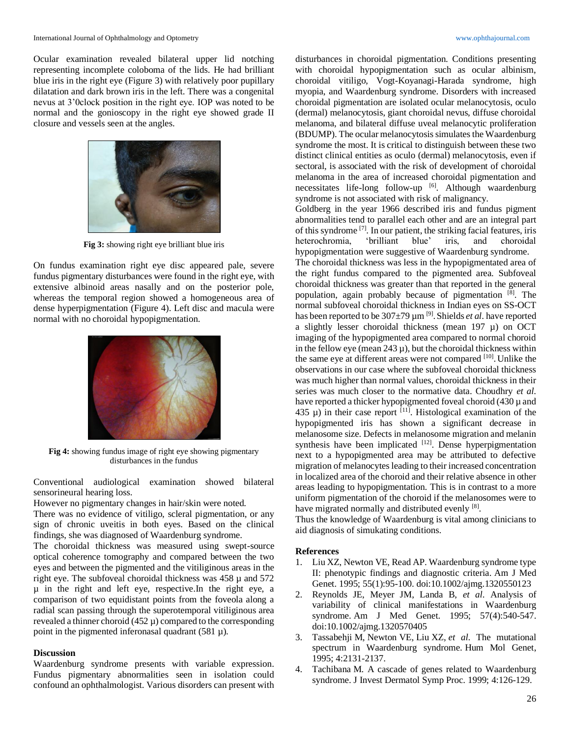Ocular examination revealed bilateral upper lid notching representing incomplete coloboma of the lids. He had brilliant blue iris in the right eye (Figure 3) with relatively poor pupillary dilatation and dark brown iris in the left. There was a congenital nevus at 3'0clock position in the right eye. IOP was noted to be normal and the gonioscopy in the right eye showed grade II closure and vessels seen at the angles.



**Fig 3:** showing right eye brilliant blue iris

On fundus examination right eye disc appeared pale, severe fundus pigmentary disturbances were found in the right eye, with extensive albinoid areas nasally and on the posterior pole, whereas the temporal region showed a homogeneous area of dense hyperpigmentation (Figure 4). Left disc and macula were normal with no choroidal hypopigmentation.



**Fig 4:** showing fundus image of right eye showing pigmentary disturbances in the fundus

Conventional audiological examination showed bilateral sensorineural hearing loss.

However no pigmentary changes in hair/skin were noted.

There was no evidence of vitiligo, scleral pigmentation, or any sign of chronic uveitis in both eyes. Based on the clinical findings, she was diagnosed of Waardenburg syndrome.

The choroidal thickness was measured using swept-source optical coherence tomography and compared between the two eyes and between the pigmented and the vitiliginous areas in the right eye. The subfoveal choroidal thickness was  $458 \mu$  and  $572$ µ in the right and left eye, respective.In the right eye, a comparison of two equidistant points from the foveola along a radial scan passing through the superotemporal vitiliginous area revealed a thinner choroid (452 µ) compared to the corresponding point in the pigmented inferonasal quadrant  $(581 \mu)$ .

#### **Discussion**

Waardenburg syndrome presents with variable expression. Fundus pigmentary abnormalities seen in isolation could confound an ophthalmologist. Various disorders can present with

disturbances in choroidal pigmentation. Conditions presenting with choroidal hypopigmentation such as ocular albinism, choroidal vitiligo, Vogt-Koyanagi-Harada syndrome, high myopia, and Waardenburg syndrome. Disorders with increased choroidal pigmentation are isolated ocular melanocytosis, oculo (dermal) melanocytosis, giant choroidal nevus, diffuse choroidal melanoma, and bilateral diffuse uveal melanocytic proliferation (BDUMP). The ocular melanocytosis simulates the Waardenburg syndrome the most. It is critical to distinguish between these two distinct clinical entities as oculo (dermal) melanocytosis, even if sectoral, is associated with the risk of development of choroidal melanoma in the area of increased choroidal pigmentation and necessitates life-long follow-up  $[6]$ . Although waardenburg syndrome is not associated with risk of malignancy.

Goldberg in the year 1966 described iris and fundus pigment abnormalities tend to parallel each other and are an integral part of this syndrome [7] . In our patient, the striking facial features, iris heterochromia, 'brilliant blue' iris, and choroidal hypopigmentation were suggestive of Waardenburg syndrome.

The choroidal thickness was less in the hypopigmentated area of the right fundus compared to the pigmented area. Subfoveal choroidal thickness was greater than that reported in the general population, again probably because of pigmentation [8]. The normal subfoveal choroidal thickness in Indian eyes on SS-OCT has been reported to be 307±79 µm [9] .Shields *et al*. have reported a slightly lesser choroidal thickness (mean 197 µ) on OCT imaging of the hypopigmented area compared to normal choroid in the fellow eye (mean  $243 \mu$ ), but the choroidal thickness within the same eye at different areas were not compared [10]. Unlike the observations in our case where the subfoveal choroidal thickness was much higher than normal values, choroidal thickness in their series was much closer to the normative data. Choudhry *et al*. have reported a thicker hypopigmented foveal choroid (430  $\mu$  and 435  $\mu$ ) in their case report <sup>[11]</sup>. Histological examination of the hypopigmented iris has shown a significant decrease in melanosome size. Defects in melanosome migration and melanin synthesis have been implicated  $[12]$ . Dense hyperpigmentation next to a hypopigmented area may be attributed to defective migration of melanocytes leading to their increased concentration in localized area of the choroid and their relative absence in other areas leading to hypopigmentation. This is in contrast to a more uniform pigmentation of the choroid if the melanosomes were to have migrated normally and distributed evenly [8].

Thus the knowledge of Waardenburg is vital among clinicians to aid diagnosis of simukating conditions.

#### **References**

- 1. Liu XZ, Newton VE, Read AP. Waardenburg syndrome type II: phenotypic findings and diagnostic criteria. Am J Med Genet. 1995; 55(1):95-100. doi:10.1002/ajmg.1320550123
- 2. Reynolds JE, Meyer JM, Landa B, *et al*. Analysis of variability of clinical manifestations in Waardenburg syndrome. Am J Med Genet. 1995; 57(4):540-547. doi:10.1002/ajmg.1320570405
- 3. Tassabehji M, Newton VE, Liu XZ, *et al*. The mutational spectrum in Waardenburg syndrome. Hum Mol Genet, 1995; 4:2131-2137.
- 4. Tachibana M. A cascade of genes related to Waardenburg syndrome. J Invest Dermatol Symp Proc. 1999; 4:126-129.